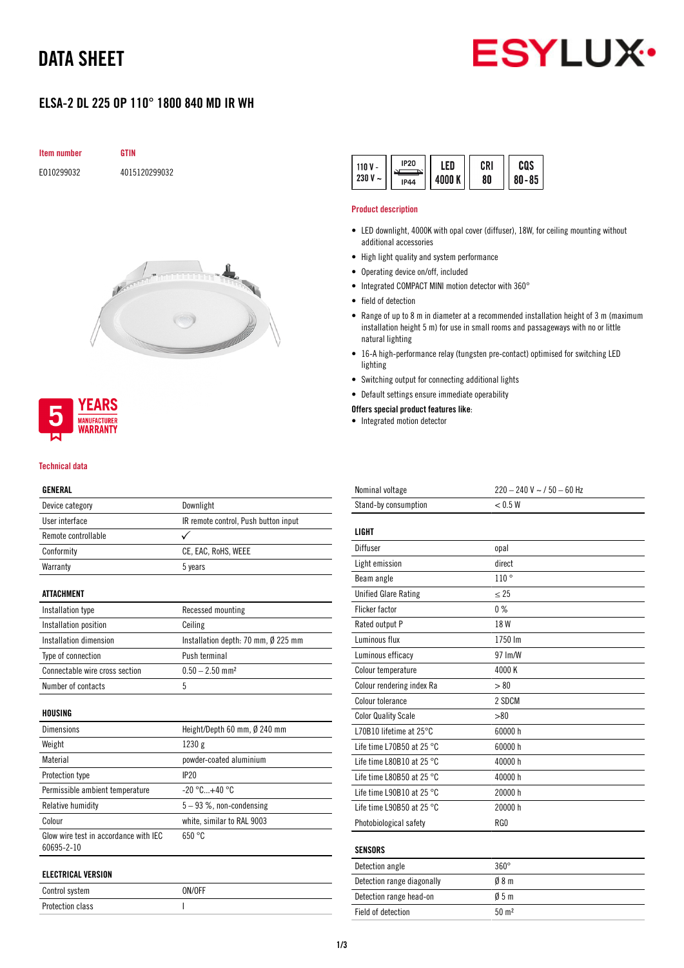## DATA SHEET



## ELSA-2 DL 225 OP 110° 1800 840 MD IR WH

| <b>Item number</b> | GTIN          |
|--------------------|---------------|
| E010299032         | 4015120299032 |





#### Technical data

### GENERAL

| Device category                                     | Downlight                            |
|-----------------------------------------------------|--------------------------------------|
| User interface                                      | IR remote control, Push button input |
| Remote controllable                                 |                                      |
| Conformity                                          | CE, EAC, RoHS, WEEE                  |
| Warranty                                            | 5 years                              |
| ATTACHMENT                                          |                                      |
| Installation type                                   | Recessed mounting                    |
| Installation position                               | Ceiling                              |
| Installation dimension                              | Installation depth: 70 mm, Ø 225 mm  |
| Type of connection                                  | Push terminal                        |
| Connectable wire cross section                      | $0.50 - 2.50$ mm <sup>2</sup>        |
| Number of contacts                                  | 5                                    |
| HOUSING                                             |                                      |
| <b>Dimensions</b>                                   | Height/Depth 60 mm, Ø 240 mm         |
| Weight                                              | 1230 g                               |
| Material                                            | powder-coated aluminium              |
| Protection type                                     | IP20                                 |
| Permissible ambient temperature                     | $-20 °C+40 °C$                       |
| Relative humidity                                   | $5 - 93$ %, non-condensing           |
| Colour                                              | white, similar to RAL 9003           |
| Glow wire test in accordance with IEC<br>60695-2-10 | 650 °C                               |
| <b>ELECTRICAL VERSION</b>                           |                                      |
| Control system                                      | ON/OFF                               |
| <b>Protection class</b>                             | I                                    |

| <b>IP20</b><br>$110V -$<br>230 V<br>$\overline{\phantom{0}}$<br><b>IP44</b> | ' FD<br>4000 K | <b>CRI</b><br>80 | cos<br>$80 - 85$ |
|-----------------------------------------------------------------------------|----------------|------------------|------------------|
|-----------------------------------------------------------------------------|----------------|------------------|------------------|

#### Product description

- LED downlight, 4000K with opal cover (diffuser), 18W, for ceiling mounting without additional accessories
- High light quality and system performance
- Operating device on/off, included
- Integrated COMPACT MINI motion detector with 360°
- field of detection
- Range of up to 8 m in diameter at a recommended installation height of 3 m (maximum installation height 5 m) for use in small rooms and passageways with no or little natural lighting
- 16-A high-performance relay (tungsten pre-contact) optimised for switching LED lighting
- Switching output for connecting additional lights
- Default settings ensure immediate operability

## Offers special product features like:

• Integrated motion detector

| Nominal voltage                     | $220 - 240$ V ~ $/50 - 60$ Hz |
|-------------------------------------|-------------------------------|
| Stand-by consumption                | < 0.5 W                       |
|                                     |                               |
| <b>LIGHT</b>                        |                               |
| Diffuser                            | opal                          |
| Light emission                      | direct                        |
| Beam angle                          | 110°                          |
| <b>Unified Glare Rating</b>         | < 25                          |
| <b>Flicker factor</b>               | 0%                            |
| Rated output P                      | 18 W                          |
| Luminous flux                       | 1750 lm                       |
| Luminous efficacy                   | 97 Im/W                       |
| Colour temperature                  | 4000 K                        |
| Colour rendering index Ra           | > 80                          |
| Colour tolerance                    | 2 SDCM                        |
| <b>Color Quality Scale</b>          | > 80                          |
| L70B10 lifetime at 25°C             | 60000 h                       |
| Life time L70B50 at 25 °C           | 60000 h                       |
| Life time L80B10 at 25 °C           | 40000 h                       |
| Life time L80B50 at 25 $^{\circ}$ C | 40000 h                       |
| Life time L90B10 at 25 $^{\circ}$ C | 20000 h                       |
| Life time L90B50 at 25 $^{\circ}$ C | 20000 h                       |
| Photobiological safety              | RG0                           |
|                                     |                               |
| <b>SENSORS</b>                      |                               |
| Detection angle                     | $360^\circ$                   |
|                                     |                               |

| Detection angle            | 30U T            |
|----------------------------|------------------|
| Detection range diagonally | 08 <sub>m</sub>  |
| Detection range head-on    | 05m              |
| Field of detection         | $50 \text{ m}^2$ |
|                            |                  |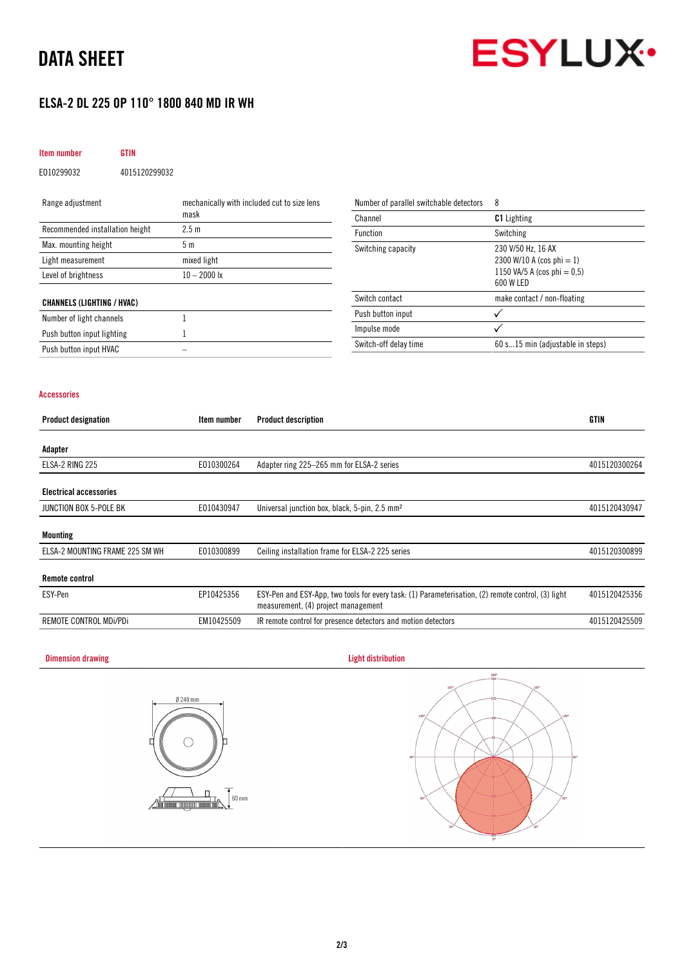## DATA SHEET



## ELSA-2 DL 225 OP 110° 1800 840 MD IR WH

## Item number GTIN

EO10299032 4015120299032

| Range adjustment                  | mechanically with included cut to size lens | Number of parallel switchable detectors | 8                                           |
|-----------------------------------|---------------------------------------------|-----------------------------------------|---------------------------------------------|
|                                   | mask                                        | Channel                                 | <b>C1</b> Lighting                          |
| Recommended installation height   | 2.5 <sub>m</sub>                            | Function                                | Switching                                   |
| Max. mounting height              | 5 m                                         | Switching capacity                      | 230 V/50 Hz, 16 AX                          |
| Light measurement                 | mixed light                                 |                                         | 2300 W/10 A (cos phi = 1)                   |
| Level of brightness               | $10 - 2000$ lx                              |                                         | 1150 VA/5 A (cos phi $= 0.5$ )<br>600 W LED |
| <b>CHANNELS (LIGHTING / HVAC)</b> |                                             | Switch contact                          | make contact / non-floating                 |
| Number of light channels          |                                             | Push button input                       |                                             |
| Push button input lighting        |                                             | Impulse mode                            |                                             |
| Push button input HVAC            |                                             | Switch-off delay time                   | 60 s15 min (adjustable in steps)            |

### Accessories

| <b>Product designation</b>      | Item number | <b>Product description</b>                                                                                                                | <b>GTIN</b>   |
|---------------------------------|-------------|-------------------------------------------------------------------------------------------------------------------------------------------|---------------|
| Adapter                         |             |                                                                                                                                           |               |
| ELSA-2 RING 225                 | E010300264  | Adapter ring 225-265 mm for ELSA-2 series                                                                                                 | 4015120300264 |
| <b>Electrical accessories</b>   |             |                                                                                                                                           |               |
| JUNCTION BOX 5-POLE BK          | E010430947  | Universal junction box, black, 5-pin, 2.5 mm <sup>2</sup>                                                                                 | 4015120430947 |
| <b>Mounting</b>                 |             |                                                                                                                                           |               |
| ELSA-2 MOUNTING FRAME 225 SM WH | E010300899  | Ceiling installation frame for ELSA-2 225 series                                                                                          | 4015120300899 |
| <b>Remote control</b>           |             |                                                                                                                                           |               |
| ESY-Pen                         | EP10425356  | ESY-Pen and ESY-App, two tools for every task: (1) Parameterisation, (2) remote control, (3) light<br>measurement, (4) project management | 4015120425356 |
| REMOTE CONTROL MDi/PDi          | EM10425509  | IR remote control for presence detectors and motion detectors                                                                             | 4015120425509 |